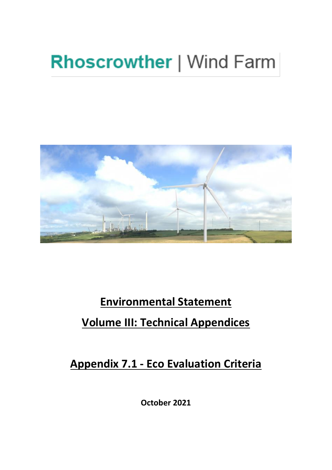## **Rhoscrowther | Wind Farm**



## **Environmental Statement Volume III: Technical Appendices**

**Appendix 7.1 - Eco Evaluation Criteria**

**October 2021**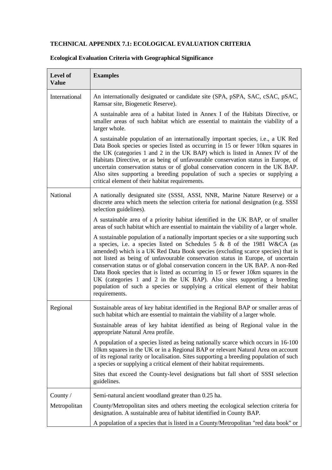## **TECHNICAL APPENDIX 7.1: ECOLOGICAL EVALUATION CRITERIA**

| <b>Examples</b>                                                                                                                                                                                                                                                                                                                                                                                                                                                                                                                                                                                                                                                                           |
|-------------------------------------------------------------------------------------------------------------------------------------------------------------------------------------------------------------------------------------------------------------------------------------------------------------------------------------------------------------------------------------------------------------------------------------------------------------------------------------------------------------------------------------------------------------------------------------------------------------------------------------------------------------------------------------------|
| An internationally designated or candidate site (SPA, pSPA, SAC, cSAC, pSAC,<br>Ramsar site, Biogenetic Reserve).                                                                                                                                                                                                                                                                                                                                                                                                                                                                                                                                                                         |
| A sustainable area of a habitat listed in Annex I of the Habitats Directive, or<br>smaller areas of such habitat which are essential to maintain the viability of a<br>larger whole.                                                                                                                                                                                                                                                                                                                                                                                                                                                                                                      |
| A sustainable population of an internationally important species, i.e., a UK Red<br>Data Book species or species listed as occurring in 15 or fewer 10km squares in<br>the UK (categories 1 and 2 in the UK BAP) which is listed in Annex IV of the<br>Habitats Directive, or as being of unfavourable conservation status in Europe, of<br>uncertain conservation status or of global conservation concern in the UK BAP.<br>Also sites supporting a breeding population of such a species or supplying a<br>critical element of their habitat requirements.                                                                                                                             |
| A nationally designated site (SSSI, ASSI, NNR, Marine Nature Reserve) or a<br>discrete area which meets the selection criteria for national designation (e.g. SSSI<br>selection guidelines).                                                                                                                                                                                                                                                                                                                                                                                                                                                                                              |
| A sustainable area of a priority habitat identified in the UK BAP, or of smaller<br>areas of such habitat which are essential to maintain the viability of a larger whole.                                                                                                                                                                                                                                                                                                                                                                                                                                                                                                                |
| A sustainable population of a nationally important species or a site supporting such<br>a species, i.e. a species listed on Schedules 5 & 8 of the 1981 W&CA (as<br>amended) which is a UK Red Data Book species (excluding scarce species) that is<br>not listed as being of unfavourable conservation status in Europe, of uncertain<br>conservation status or of global conservation concern in the UK BAP. A non-Red<br>Data Book species that is listed as occurring in 15 or fewer 10km squares in the<br>UK (categories 1 and 2 in the UK BAP). Also sites supporting a breeding<br>population of such a species or supplying a critical element of their habitat<br>requirements. |
| Sustainable areas of key habitat identified in the Regional BAP or smaller areas of<br>such habitat which are essential to maintain the viability of a larger whole.                                                                                                                                                                                                                                                                                                                                                                                                                                                                                                                      |
| Sustainable areas of key habitat identified as being of Regional value in the<br>appropriate Natural Area profile.                                                                                                                                                                                                                                                                                                                                                                                                                                                                                                                                                                        |
| A population of a species listed as being nationally scarce which occurs in 16-100<br>10km squares in the UK or in a Regional BAP or relevant Natural Area on account<br>of its regional rarity or localisation. Sites supporting a breeding population of such<br>a species or supplying a critical element of their habitat requirements.                                                                                                                                                                                                                                                                                                                                               |
| Sites that exceed the County-level designations but fall short of SSSI selection<br>guidelines.                                                                                                                                                                                                                                                                                                                                                                                                                                                                                                                                                                                           |
| Semi-natural ancient woodland greater than 0.25 ha.                                                                                                                                                                                                                                                                                                                                                                                                                                                                                                                                                                                                                                       |
| County/Metropolitan sites and others meeting the ecological selection criteria for<br>designation. A sustainable area of habitat identified in County BAP.<br>A population of a species that is listed in a County/Metropolitan "red data book" or                                                                                                                                                                                                                                                                                                                                                                                                                                        |
|                                                                                                                                                                                                                                                                                                                                                                                                                                                                                                                                                                                                                                                                                           |

## **Ecological Evaluation Criteria with Geographical Significance**